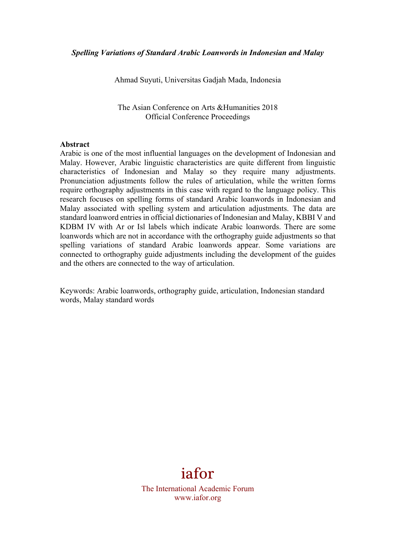Ahmad Suyuti, Universitas Gadjah Mada, Indonesia

The Asian Conference on Arts & Humanities 2018 Official Conference Proceedings

#### **Abstract**

Arabic is one of the most influential languages on the development of Indonesian and Malay. However, Arabic linguistic characteristics are quite different from linguistic characteristics of Indonesian and Malay so they require many adjustments. Pronunciation adjustments follow the rules of articulation, while the written forms require orthography adjustments in this case with regard to the language policy. This research focuses on spelling forms of standard Arabic loanwords in Indonesian and Malay associated with spelling system and articulation adjustments. The data are standard loanword entries in official dictionaries of Indonesian and Malay, KBBI V and KDBM IV with Ar or Isl labels which indicate Arabic loanwords. There are some loanwords which are not in accordance with the orthography guide adjustments so that spelling variations of standard Arabic loanwords appear. Some variations are connected to orthography guide adjustments including the development of the guides and the others are connected to the way of articulation.

Keywords: Arabic loanwords, orthography guide, articulation, Indonesian standard words, Malay standard words

# iafor

The International Academic Forum www.iafor.org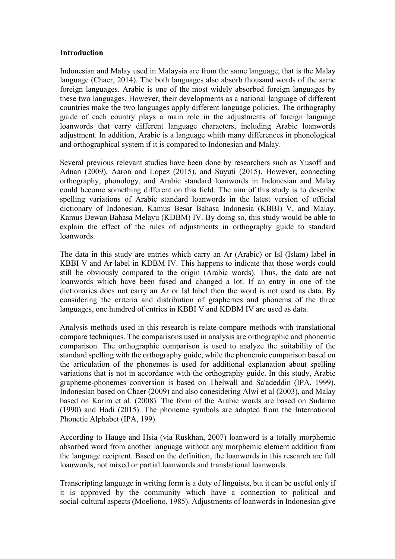### **Introduction**

Indonesian and Malay used in Malaysia are from the same language, that is the Malay language (Chaer, 2014). The both languages also absorb thousand words of the same foreign languages. Arabic is one of the most widely absorbed foreign languages by these two languages. However, their developments as a national language of different countries make the two languages apply different language policies. The orthography guide of each country plays a main role in the adjustments of foreign language loanwords that carry different language characters, including Arabic loanwords adjustment. In addition, Arabic is a language whith many differences in phonological and orthographical system if it is compared to Indonesian and Malay.

Several previous relevant studies have been done by researchers such as Yusoff and Adnan (2009), Aaron and Lopez (2015), and Suyuti (2015). However, connecting orthography, phonology, and Arabic standard loanwords in Indonesian and Malay could become something different on this field. The aim of this study is to describe spelling variations of Arabic standard loanwords in the latest version of official dictionary of Indonesian, Kamus Besar Bahasa Indonesia (KBBI) V, and Malay, Kamus Dewan Bahasa Melayu (KDBM) IV. By doing so, this study would be able to explain the effect of the rules of adjustments in orthography guide to standard loanwords.

The data in this study are entries which carry an Ar (Arabic) or Isl (Islam) label in KBBI V and Ar label in KDBM IV. This happens to indicate that those words could still be obviously compared to the origin (Arabic words). Thus, the data are not loanwords which have been fused and changed a lot. If an entry in one of the dictionaries does not carry an Ar or Isl label then the word is not used as data. By considering the criteria and distribution of graphemes and phonems of the three languages, one hundred of entries in KBBI V and KDBM IV are used as data.

Analysis methods used in this research is relate-compare methods with translational compare techniques. The comparisons used in analysis are orthographic and phonemic comparison. The orthographic comparison is used to analyze the suitability of the standard spelling with the orthography guide, while the phonemic comparison based on the articulation of the phonemes is used for additional explanation about spelling variations that is not in accordance with the orthography guide. In this study, Arabic grapheme-phonemes conversion is based on Thelwall and Sa'adeddin (IPA, 1999), Indonesian based on Chaer (2009) and also conesidering Alwi et al (2003), and Malay based on Karim et al. (2008). The form of the Arabic words are based on Sudarno (1990) and Hadi (2015). The phoneme symbols are adapted from the International Phonetic Alphabet (IPA, 199).

According to Hauge and Hsia (via Ruskhan, 2007) loanword is a totally morphemic absorbed word from another language without any morphemic element addition from the language recipient. Based on the definition, the loanwords in this research are full loanwords, not mixed or partial loanwords and translational loanwords.

Transcripting language in writing form is a duty of linguists, but it can be useful only if it is approved by the community which have a connection to political and social-cultural aspects (Moeliono, 1985). Adjustments of loanwords in Indonesian give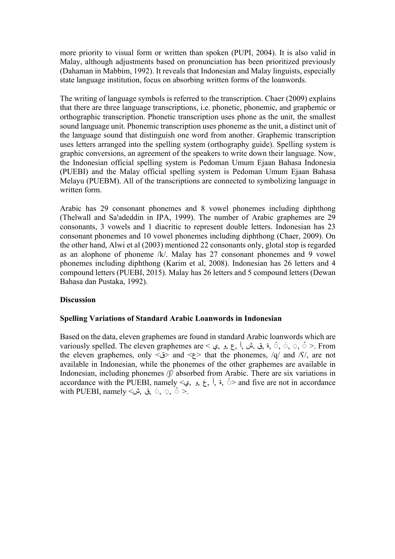more priority to visual form or written than spoken (PUPI, 2004). It is also valid in Malay, although adjustments based on pronunciation has been prioritized previously (Dahaman in Mabbim, 1992). It reveals that Indonesian and Malay linguists, especially state language institution, focus on absorbing written forms of the loanwords.

The writing of language symbols is referred to the transcription. Chaer (2009) explains that there are three language transcriptions, i.e. phonetic, phonemic, and graphemic or orthographic transcription. Phonetic transcription uses phone as the unit, the smallest sound language unit. Phonemic transcription uses phoneme as the unit, a distinct unit of the language sound that distinguish one word from another. Graphemic transcription uses letters arranged into the spelling system (orthography guide). Spelling system is graphic conversions, an agreement of the speakers to write down their language. Now, the Indonesian official spelling system is Pedoman Umum Ejaan Bahasa Indonesia (PUEBI) and the Malay official spelling system is Pedoman Umum Ejaan Bahasa Melayu (PUEBM). All of the transcriptions are connected to symbolizing language in written form.

Arabic has 29 consonant phonemes and 8 vowel phonemes including diphthong (Thelwall and Sa'adeddin in IPA, 1999). The number of Arabic graphemes are 29 consonants, 3 vowels and 1 diacritic to represent double letters. Indonesian has 23 consonant phonemes and 10 vowel phonemes including diphthong (Chaer, 2009). On the other hand, Alwi et al (2003) mentioned 22 consonants only, glotal stop is regarded as an alophone of phoneme /k/. Malay has 27 consonant phonemes and 9 vowel phonemes including diphthong (Karim et al, 2008). Indonesian has 26 letters and 4 compound letters (PUEBI, 2015). Malay has 26 letters and 5 compound letters (Dewan Bahasa dan Pustaka, 1992).

## **Discussion**

### **Spelling Variations of Standard Arabic Loanwords in Indonesian**

Based on the data, eleven graphemes are found in standard Arabic loanwords which are variously spelled. The eleven graphemes are  $\leq$ ,  $\leq$ ,  $\leq$ ,  $\leq$ ,  $\leq$ ,  $\leq$ ,  $\leq$ ,  $\leq$ ,  $\leq$ ,  $\leq$ ,  $\leq$ ,  $\leq$ ,  $\leq$ ,  $\leq$ ,  $\leq$ ,  $\leq$ ,  $\leq$ ,  $\leq$ ,  $\leq$ ,  $\leq$ ,  $\leq$ ,  $\leq$ ,  $\leq$ ,  $\leq$ ,  $\leq$ , the eleven graphemes, only  $\langle \psi \rangle$  and  $\langle \psi \rangle$  that the phonemes, /q/ and /S/, are not available in Indonesian, while the phonemes of the other graphemes are available in Indonesian, including phonemes /ʃ/ absorbed from Arabic. There are six variations in accordance with the PUEBI, namely <, و, ي,  $\xi$ , أ,  $\zeta$  and five are not in accordance with PUEBI, namely  $\leq$   $\omega$ ,  $\infty$ ,  $\infty$ ,  $\infty$ ,  $\infty$   $\infty$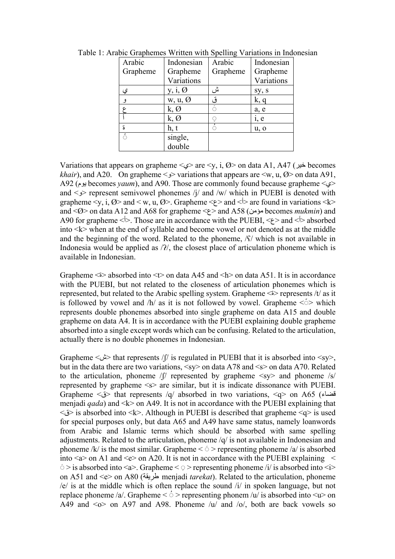| Arabic   | Indonesian          | Arabic   | Indonesian |  |
|----------|---------------------|----------|------------|--|
| Grapheme | Grapheme            | Grapheme | Grapheme   |  |
|          | Variations          |          | Variations |  |
| ي        | y, i, $\varnothing$ | ش        | sy, s      |  |
| و        | $w, u, \emptyset$   | ق        | k, q       |  |
|          | k, Ø                | ó        | a, e       |  |
|          | k, Ø                | ୍        | i, e       |  |
| ڎ        | h, t                | ं        | u, o       |  |
| ៍        | single,             |          |            |  |
|          | double              |          |            |  |

Table 1: Arabic Graphemes Written with Spelling Variations in Indonesian

Variations that appears on grapheme < $\epsilon \geq$  are <y, i, Ø> on data A1, A47 (خیر becomes *khair*), and A20. On grapheme  $\leq$   $\geq$  variations that appears are  $\leq$ w, u, Ø $>$  on data A91, A92 (یوم becomes *yaum*), and A90. Those are commonly found because grapheme <ي < and  $\leq$  represent semivowel phonemes /i/ and /w/ which in PUEBI is denoted with grapheme  $\langle y, i, \emptyset \rangle$  and  $\langle w, u, \emptyset \rangle$ . Grapheme  $\langle \rangle$  and  $\langle \rangle$  are found in variations  $\langle k \rangle$ and < $\emptyset$ > on data A12 and A68 for grapheme < $\epsilon$ > and A58 (مؤمن becomes *mukmin*) and A90 for grapheme  $\langle \rangle$ . Those are in accordance with the PUEBI,  $\langle \rangle$  and  $\langle \rangle$  absorbed into  $\langle k \rangle$  when at the end of syllable and become vowel or not denoted as at the middle and the beginning of the word. Related to the phoneme,  $\frac{\pi}{3}$  which is not available in Indonesia would be applied as  $/2/$ , the closest place of articulation phoneme which is available in Indonesian.

Grapheme  $\leq$  absorbed into  $\leq$  on data A45 and  $\leq$  on data A51. It is in accordance with the PUEBI, but not related to the closeness of articulation phonemes which is represented, but related to the Arabic spelling system. Grapheme  $\leq$  > represents /t/ as it is followed by vowel and  $/h/$  as it is not followed by vowel. Grapheme  $\leq$  > which represents double phonemes absorbed into single grapheme on data A15 and double grapheme on data A4. It is in accordance with the PUEBI explaining double grapheme absorbed into a single except words which can be confusing. Related to the articulation, actually there is no double phonemes in Indonesian.

Grapheme  $\ll \omega$  that represents /ʃ/ is regulated in PUEBI that it is absorbed into  $\ll y$ , but in the data there are two variations, <sy> on data A78 and <s> on data A70. Related to the articulation, phoneme  $\sqrt{f}$  represented by grapheme  $\langle s \rangle$  and phoneme  $\sqrt{s}$ represented by grapheme <s> are similar, but it is indicate dissonance with PUEBI. Grapheme < $\check{\mathcal{O}}$  that represents /q/ absorbed in two variations, <q> on A65 (قضاء) menjadi *qada*) and <k> on A49. It is not in accordance with the PUEBI explaining that  $\leq$  is absorbed into  $\leq k$ . Although in PUEBI is described that grapheme  $\leq q$  is used for special purposes only, but data A65 and A49 have same status, namely loanwords from Arabic and Islamic terms which should be absorbed with same spelling adjustments. Related to the articulation, phoneme /q/ is not available in Indonesian and phoneme /k/ is the most similar. Grapheme  $\leq \tilde{\circ}$  > representing phoneme /a/ is absorbed into  $\leq a$  on A1 and  $\leq e$  on A20. It is not in accordance with the PUEBI explaining  $\leq$  $\epsilon >$  is absorbed into  $\leq a$ . Grapheme  $\leq$   $\geq$  representing phoneme /i/ is absorbed into  $\leq$  i> on A51 and <e> on A80 (ریقةِ ط menjadi *tarekat*). Related to the articulation, phoneme /e/ is at the middle which is often replace the sound /i/ in spoken language, but not replace phoneme /a/. Grapheme  $\langle \hat{\phi} \rangle$  representing phonem /u/ is absorbed into  $\langle u \rangle$  on A49 and  $\leq_0$  on A97 and A98. Phoneme /u/ and /o/, both are back vowels so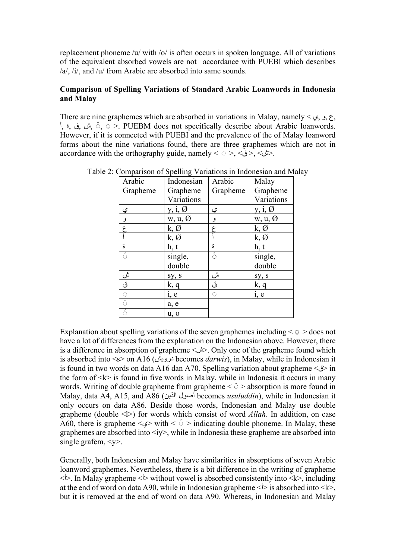replacement phoneme /u/ with /o/ is often occurs in spoken language. All of variations of the equivalent absorbed vowels are not accordance with PUEBI which describes /a/, /i/, and /u/ from Arabic are absorbed into same sounds.

## **Comparison of Spelling Variations of Standard Arabic Loanwords in Indonesia and Malay**

There are nine graphemes which are absorbed in variations in Malay, namely  $\leq \xi$ ,  $\zeta$ ,  $\zeta$ , أ, ق, ق, أ,  $\circ$  >. PUEBM does not specifically describe about Arabic loanwords. However, if it is connected with PUEBI and the prevalence of the of Malay loanword forms about the nine variations found, there are three graphemes which are not in accordance with the orthography guide, namely  $\langle \circ \rangle$ ,  $\langle \circ \rangle$ ,  $\langle \circ \rangle$ ,  $\langle \circ \rangle$ .

| Arabic   | Indonesian        | Arabic   | Malay             |  |
|----------|-------------------|----------|-------------------|--|
| Grapheme | Grapheme          | Grapheme | Grapheme          |  |
|          | Variations        |          | Variations        |  |
| ي        | $y, i, \emptyset$ | ي        | $y, i, \emptyset$ |  |
| و        | $w, u, \emptyset$ | و        | $w, u, \emptyset$ |  |
| ع        | $k, \emptyset$    | ع        | $k, \emptyset$    |  |
|          | $k, \emptyset$    |          | $k, \emptyset$    |  |
| ة        | h, t              | ة        | h, t              |  |
| ं        | single,           | Ŏ        | single,           |  |
|          | double            |          | double            |  |
|          | sy, s             | ش        | sy, s             |  |
| ش<br>ق   | k, q              | ق        | k, q              |  |
| Q        | i, e              | Ç.       | i, e              |  |
| ó        | a, e              |          |                   |  |
| ं        | u, o              |          |                   |  |

Table 2: Comparison of Spelling Variations in Indonesian and Malay

Explanation about spelling variations of the seven graphemes including  $\leq \circ$   $>$  does not have a lot of differences from the explanation on the Indonesian above. However, there is a difference in absorption of grapheme <ش<. Only one of the grapheme found which is absorbed into <s> on A16 (درویش becomes *darwis*), in Malay, while in Indonesian it is found in two words on data A16 dan A70. Spelling variation about grapheme  $\leq \geq \infty$  in the form of  $\leq k$  is found in five words in Malay, while in Indonesia it occurs in many words. Writing of double grapheme from grapheme  $\langle \cdot \rangle$  absorption is more found in Malay, data A4, A15, and A86 (دینّ ال أصول becomes *usuluddin*), while in Indonesian it only occurs on data A86. Beside those words, Indonesian and Malay use double grapheme (double <l>) for words which consist of word *Allah*. In addition, on case A60, there is grapheme  $\leq \geq$  with  $\leq$   $\circ$  > indicating double phoneme. In Malay, these graphemes are absorbed into  $\langle iv \rangle$ , while in Indonesia these grapheme are absorbed into single grafem,  $\langle v \rangle$ .

Generally, both Indonesian and Malay have similarities in absorptions of seven Arabic loanword graphemes. Nevertheless, there is a bit difference in the writing of grapheme  $\langle \cdot | \cdot \rangle$ . In Malay grapheme  $\langle \cdot | \cdot \rangle$  without vowel is absorbed consistently into  $\langle k \rangle$ , including at the end of word on data A90, while in Indonesian grapheme  $\langle \cdot \rangle$  is absorbed into  $\langle k \rangle$ , but it is removed at the end of word on data A90. Whereas, in Indonesian and Malay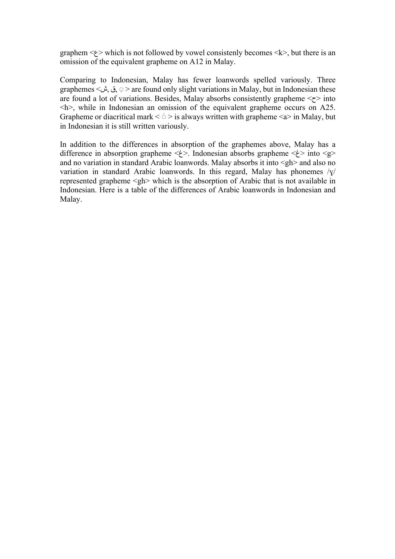graphem  $\leq$  which is not followed by vowel consistenly becomes  $\leq$  k  $>$ , but there is an omission of the equivalent grapheme on A12 in Malay.

Comparing to Indonesian, Malay has fewer loanwords spelled variously. Three graphemes <  $\tilde{\psi}$ , ق,  $\tilde{\psi}$  are found only slight variations in Malay, but in Indonesian these are found a lot of variations. Besides, Malay absorbs consistently grapheme  $\langle z \rangle$  into  $\langle h \rangle$ , while in Indonesian an omission of the equivalent grapheme occurs on A25. Grapheme or diacritical mark  $\leq$   $\leq$  > is always written with grapheme  $\leq$ a $>$  in Malay, but in Indonesian it is still written variously.

In addition to the differences in absorption of the graphemes above, Malay has a difference in absorption grapheme  $\langle \dot{\xi} \rangle$ . Indonesian absorbs grapheme  $\langle \dot{\xi} \rangle$  into  $\langle g \rangle$ and no variation in standard Arabic loanwords. Malay absorbs it into  $\langle gh \rangle$  and also no variation in standard Arabic loanwords. In this regard, Malay has phonemes /ɣ/ represented grapheme <gh> which is the absorption of Arabic that is not available in Indonesian. Here is a table of the differences of Arabic loanwords in Indonesian and Malay.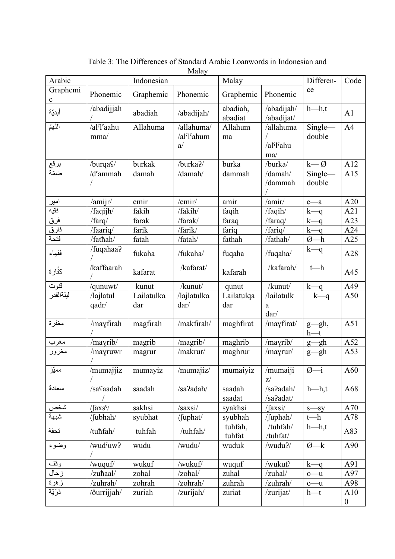| Arabic              |                                      | Indonesian |                                      | Malay               |                          | Differen-                | Code             |
|---------------------|--------------------------------------|------------|--------------------------------------|---------------------|--------------------------|--------------------------|------------------|
| Graphemi            | Phonemic                             | Graphemic  | Phonemic                             | Graphemic           | Phonemic                 | ce                       |                  |
| $\mathbf c$         |                                      |            |                                      |                     |                          |                          |                  |
| أبديّة              | /abadijjah                           | abadiah    | /abadijah/                           | abadiah,<br>abadiat | /abadijah/<br>/abadijat/ | $h$ — $h$ ,t             | A1               |
| اللُّهمّ            | /al <sup>s</sup> l <sup>s</sup> aahu | Allahuma   | /allahuma/                           | Allahum             | /allahuma                | Single-                  | A <sub>4</sub>   |
|                     | mma/                                 |            | /al <sup>c</sup> l <sup>c</sup> ahum | ma                  |                          | double                   |                  |
|                     |                                      |            | a/                                   |                     | /al'I'ahu                |                          |                  |
|                     | /burqa <sup>c</sup> /                | burkak     | /burka?/                             | burka               | ma/<br>/burka/           | $k - Q$                  | A12              |
| <u>برقع</u><br>ضمّة | /dˤammah                             | damah      | /damah/                              | dammah              | /damah/                  | Single-                  | A15              |
|                     |                                      |            |                                      |                     | /dammah                  | double                   |                  |
|                     |                                      |            |                                      |                     |                          |                          |                  |
| امير                | /amijr/                              | emir       | /emir/                               | amir                | /amir/                   | $e-a$                    | A20              |
| فقيه                | /faqijh/                             | fakih      | /fakih/                              | faqih               | /faqih/                  | $k - q$                  | A21              |
| فرق                 | /farq/                               | farak      | /farak/                              | faraq               | /faraq/                  | $k - q$                  | A23              |
| فارق                | /faariq/                             | farik      | /farik/                              | fariq               | /fariq/                  | $k$ —q                   | A24              |
| فنحة                | /fathah/                             | fatah      | /fatah/                              | fathah              | /fathah/                 | $\emptyset$ -h           | A25              |
| فقهاء               | /fuqahaa?                            | fukaha     | /fukaha/                             | fuqaha              | /fuqaha/                 | $k - q$                  | A28              |
| كفَّار ة            | /kaffaarah                           | kafarat    | /kafarat/                            | kafarah             | /kafarah/                | $t-h$                    | A45              |
| قنوت                | /qunuwt/                             | kunut      | /kunut/                              | qunut               | /kunut/                  | $k - q$                  | A49              |
| ليلةالقدر           | /lajlatul                            | Lailatulka | /lajlatulka                          | Lailatulqa          | /lailatulk               | $k - q$                  | A50              |
|                     | qadr/                                | dar        | dar/                                 | dar                 | a                        |                          |                  |
|                     |                                      |            |                                      |                     | dar/                     |                          |                  |
| مغفرة               | /mayfirah                            | magfirah   | /makfirah/                           | maghfirat           | /mayfirat/               | $g$ -gh,<br>$h$ —t       | A51              |
| مغرب                | /mayrib/                             | magrib     | /magrib/                             | maghrib             | /mayrib/                 | $g$ -gh                  | A52              |
| مغرور               | /mayruwr                             | magrur     | /makrur/                             | maghrur             | $/$ mayrur $/$           | $g$ -gh                  | A53              |
| مميّز               | /mumajjiz                            | mumayiz    | /mumajiz/                            | mumaiyiz            | /mumaiji<br>$Z^{/}$      | $\overline{\omega_{-i}}$ | A60              |
| سعادة               | /safaadah                            | saadah     | /sa?adah/                            | saadah<br>saadat    | /sa?adah/<br>/sa?adat/   | $h$ — $h$ ,t             | A68              |
| شخص                 | $\sqrt{\text{faxs}}$                 | sakhsi     | /saxsi/                              | syakhsi             | $/$ faxsi $/$            | $s$ -sy                  | A70              |
| شبهة                | /fubhah/                             | syubhat    | /fuphat/                             | syubhah             | /fuphah/                 | $t-h$                    | A78              |
| تحفة                |                                      | tuhfah     |                                      | tuhfah,             | /tuhfah/                 | $h$ — $h$ ,t             |                  |
|                     | /tuħfah/                             |            | /tuhfah/                             | tuhfat              | /tuhfat/                 |                          | A83              |
| وضوء                | /wud <sup>s</sup> uw?                | wudu       | /wudu/                               | wuduk               | /wudu?/                  | $\emptyset$ -k           | A90              |
| وقف                 | /wuquf/                              | wukuf      | /wukuf/                              | wuquf               | /wukuf/                  | $k - q$                  | A91              |
| زحال                | /zuħaal/                             | zohal      | /zohal/                              | zuhal               | /zuhal/                  | $0 - u$                  | A97              |
| زهرة                | /zuhrah/                             | zohrah     | /zohrah/                             | zuhrah              | /zuhrah/                 | $0 - u$                  | A98              |
| ذرّيّة              | /ðurrijjah/                          | zuriah     | /zurijah/                            | zuriat              | /zurijat/                | $h$ —t                   | A10              |
|                     |                                      |            |                                      |                     |                          |                          | $\boldsymbol{0}$ |

Table 3: The Differences of Standard Arabic Loanwords in Indonesian and Malay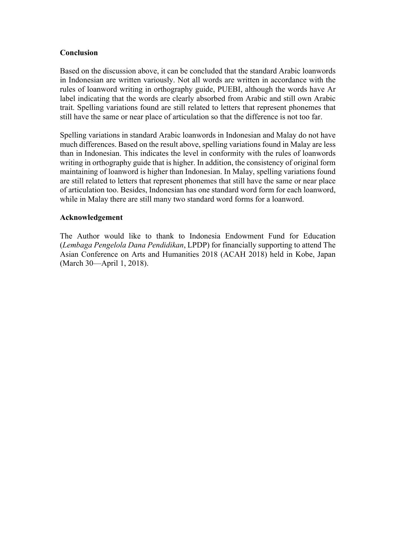## **Conclusion**

Based on the discussion above, it can be concluded that the standard Arabic loanwords in Indonesian are written variously. Not all words are written in accordance with the rules of loanword writing in orthography guide, PUEBI, although the words have Ar label indicating that the words are clearly absorbed from Arabic and still own Arabic trait. Spelling variations found are still related to letters that represent phonemes that still have the same or near place of articulation so that the difference is not too far.

Spelling variations in standard Arabic loanwords in Indonesian and Malay do not have much differences. Based on the result above, spelling variations found in Malay are less than in Indonesian. This indicates the level in conformity with the rules of loanwords writing in orthography guide that is higher. In addition, the consistency of original form maintaining of loanword is higher than Indonesian. In Malay, spelling variations found are still related to letters that represent phonemes that still have the same or near place of articulation too. Besides, Indonesian has one standard word form for each loanword, while in Malay there are still many two standard word forms for a loanword.

### **Acknowledgement**

The Author would like to thank to Indonesia Endowment Fund for Education (*Lembaga Pengelola Dana Pendidikan*, LPDP) for financially supporting to attend The Asian Conference on Arts and Humanities 2018 (ACAH 2018) held in Kobe, Japan (March 30—April 1, 2018).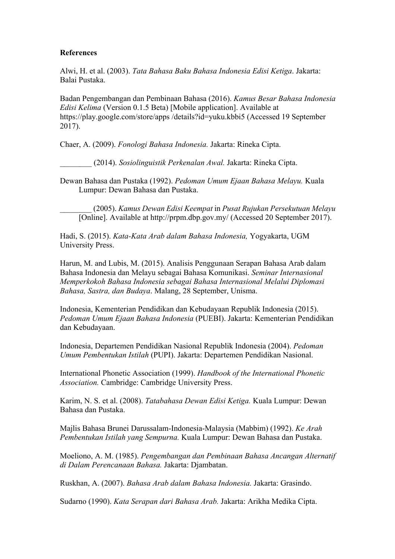## **References**

Alwi, H. et al. (2003). *Tata Bahasa Baku Bahasa Indonesia Edisi Ketiga*. Jakarta: Balai Pustaka.

Badan Pengembangan dan Pembinaan Bahasa (2016). *Kamus Besar Bahasa Indonesia Edisi Kelima* (Version 0.1.5 Beta) [Mobile application]. Available at https://play.google.com/store/apps /details?id=yuku.kbbi5 (Accessed 19 September 2017).

Chaer, A. (2009). *Fonologi Bahasa Indonesia.* Jakarta: Rineka Cipta.

\_\_\_\_\_\_\_\_ (2014). *Sosiolinguistik Perkenalan Awal.* Jakarta: Rineka Cipta.

Dewan Bahasa dan Pustaka (1992). *Pedoman Umum Ejaan Bahasa Melayu.* Kuala Lumpur: Dewan Bahasa dan Pustaka.

\_\_\_\_\_\_\_\_ (2005). *Kamus Dewan Edisi Keempat* in *Pusat Rujukan Persekutuan Melayu* [Online]. Available at http://prpm.dbp.gov.my/ (Accessed 20 September 2017).

Hadi, S. (2015). *Kata-Kata Arab dalam Bahasa Indonesia,* Yogyakarta, UGM University Press.

Harun, M. and Lubis, M. (2015). Analisis Penggunaan Serapan Bahasa Arab dalam Bahasa Indonesia dan Melayu sebagai Bahasa Komunikasi. *Seminar Internasional Memperkokoh Bahasa Indonesia sebagai Bahasa Internasional Melalui Diplomasi Bahasa, Sastra, dan Budaya*. Malang, 28 September, Unisma.

Indonesia, Kementerian Pendidikan dan Kebudayaan Republik Indonesia (2015). *Pedoman Umum Ejaan Bahasa Indonesia* (PUEBI). Jakarta: Kementerian Pendidikan dan Kebudayaan.

Indonesia, Departemen Pendidikan Nasional Republik Indonesia (2004). *Pedoman Umum Pembentukan Istilah* (PUPI). Jakarta: Departemen Pendidikan Nasional.

International Phonetic Association (1999). *Handbook of the International Phonetic Association.* Cambridge: Cambridge University Press.

Karim, N. S. et al. (2008). *Tatabahasa Dewan Edisi Ketiga.* Kuala Lumpur: Dewan Bahasa dan Pustaka.

Majlis Bahasa Brunei Darussalam-Indonesia-Malaysia (Mabbim) (1992). *Ke Arah Pembentukan Istilah yang Sempurna.* Kuala Lumpur: Dewan Bahasa dan Pustaka.

Moeliono, A. M. (1985). *Pengembangan dan Pembinaan Bahasa Ancangan Alternatif di Dalam Perencanaan Bahasa.* Jakarta: Djambatan.

Ruskhan, A. (2007). *Bahasa Arab dalam Bahasa Indonesia.* Jakarta: Grasindo.

Sudarno (1990). *Kata Serapan dari Bahasa Arab.* Jakarta: Arikha Medika Cipta.